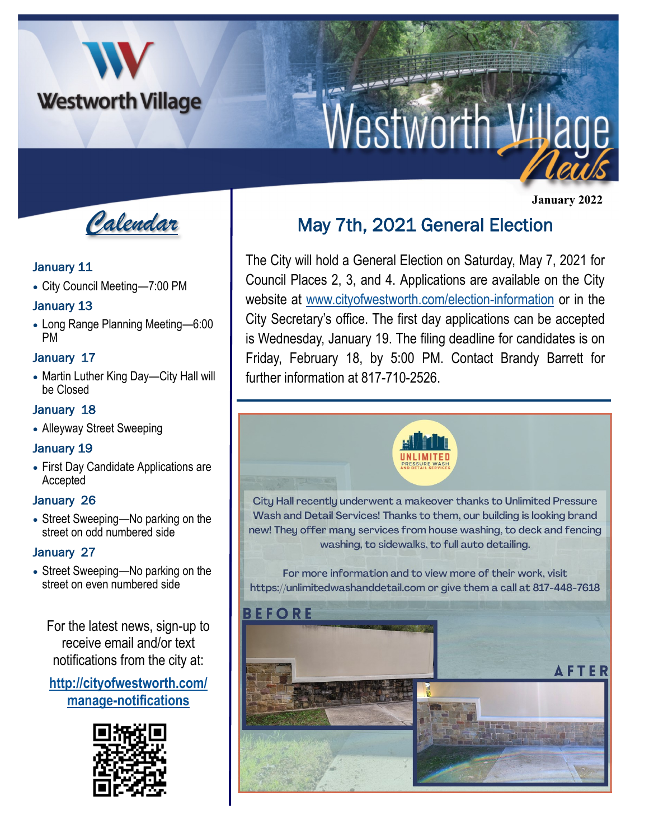

# **Westworth Village**

*Calendar*

#### January 11

• City Council Meeting—7:00 PM

#### January 13

• Long Range Planning Meeting—6:00 PM

#### January 17

• Martin Luther King Day—City Hall will be Closed

#### January 18

• Alleyway Street Sweeping

#### January 19

• First Day Candidate Applications are Accepted

#### January 26

• Street Sweeping—No parking on the street on odd numbered side

#### January 27

• Street Sweeping—No parking on the street on even numbered side

For the latest news, sign-up to receive email and/or text notifications from the city at:

#### **[http://cityofwestworth.com/](http://cityofwestworth.com/manage-notifications) [manage-notifications](http://cityofwestworth.com/manage-notifications)**



# May 7th, 2021 General Election

The City will hold a General Election on Saturday, May 7, 2021 for Council Places 2, 3, and 4. Applications are available on the City website at [www.cityofwestworth.com/election-information](http://www.cityofwestworth.com/election-information) or in the City Secretary's office. The first day applications can be accepted is Wednesday, January 19. The filing deadline for candidates is on Friday, February 18, by 5:00 PM. Contact Brandy Barrett for further information at 817-710-2526.



 **January 2022**